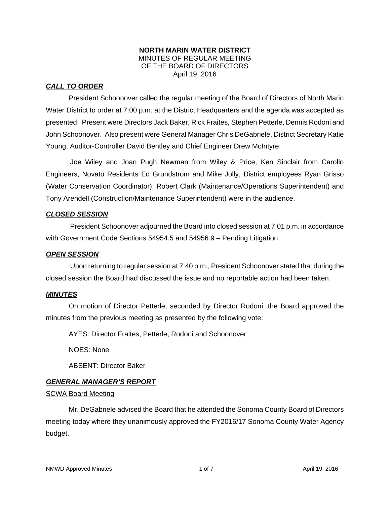#### **NORTH MARIN WATER DISTRICT**  MINUTES OF REGULAR MEETING OF THE BOARD OF DIRECTORS April 19, 2016

## *CALL TO ORDER*

President Schoonover called the regular meeting of the Board of Directors of North Marin Water District to order at 7:00 p.m. at the District Headquarters and the agenda was accepted as presented. Present were Directors Jack Baker, Rick Fraites, Stephen Petterle, Dennis Rodoni and John Schoonover. Also present were General Manager Chris DeGabriele, District Secretary Katie Young, Auditor-Controller David Bentley and Chief Engineer Drew McIntyre.

Joe Wiley and Joan Pugh Newman from Wiley & Price, Ken Sinclair from Carollo Engineers, Novato Residents Ed Grundstrom and Mike Jolly, District employees Ryan Grisso (Water Conservation Coordinator), Robert Clark (Maintenance/Operations Superintendent) and Tony Arendell (Construction/Maintenance Superintendent) were in the audience.

### *CLOSED SESSION*

President Schoonover adjourned the Board into closed session at 7:01 p.m. in accordance with Government Code Sections 54954.5 and 54956.9 – Pending Litigation.

### *OPEN SESSION*

Upon returning to regular session at 7:40 p.m., President Schoonover stated that during the closed session the Board had discussed the issue and no reportable action had been taken.

### *MINUTES*

 On motion of Director Petterle, seconded by Director Rodoni, the Board approved the minutes from the previous meeting as presented by the following vote:

AYES: Director Fraites, Petterle, Rodoni and Schoonover

NOES: None

ABSENT: Director Baker

# *GENERAL MANAGER'S REPORT*

#### SCWA Board Meeting

 Mr. DeGabriele advised the Board that he attended the Sonoma County Board of Directors meeting today where they unanimously approved the FY2016/17 Sonoma County Water Agency budget.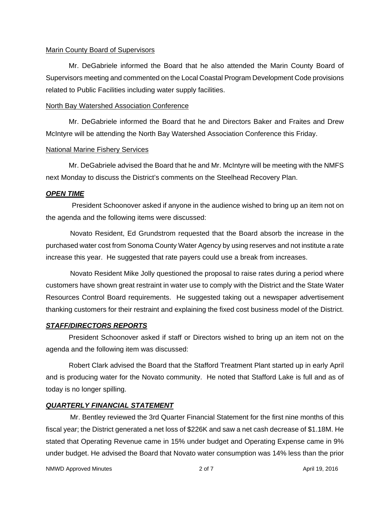#### Marin County Board of Supervisors

 Mr. DeGabriele informed the Board that he also attended the Marin County Board of Supervisors meeting and commented on the Local Coastal Program Development Code provisions related to Public Facilities including water supply facilities.

#### North Bay Watershed Association Conference

 Mr. DeGabriele informed the Board that he and Directors Baker and Fraites and Drew McIntyre will be attending the North Bay Watershed Association Conference this Friday.

#### National Marine Fishery Services

 Mr. DeGabriele advised the Board that he and Mr. McIntyre will be meeting with the NMFS next Monday to discuss the District's comments on the Steelhead Recovery Plan.

#### *OPEN TIME*

President Schoonover asked if anyone in the audience wished to bring up an item not on the agenda and the following items were discussed:

Novato Resident, Ed Grundstrom requested that the Board absorb the increase in the purchased water cost from Sonoma County Water Agency by using reserves and not institute a rate increase this year. He suggested that rate payers could use a break from increases.

Novato Resident Mike Jolly questioned the proposal to raise rates during a period where customers have shown great restraint in water use to comply with the District and the State Water Resources Control Board requirements. He suggested taking out a newspaper advertisement thanking customers for their restraint and explaining the fixed cost business model of the District.

#### *STAFF/DIRECTORS REPORTS*

 President Schoonover asked if staff or Directors wished to bring up an item not on the agenda and the following item was discussed:

 Robert Clark advised the Board that the Stafford Treatment Plant started up in early April and is producing water for the Novato community. He noted that Stafford Lake is full and as of today is no longer spilling.

#### *QUARTERLY FINANCIAL STATEMENT*

Mr. Bentley reviewed the 3rd Quarter Financial Statement for the first nine months of this fiscal year; the District generated a net loss of \$226K and saw a net cash decrease of \$1.18M. He stated that Operating Revenue came in 15% under budget and Operating Expense came in 9% under budget. He advised the Board that Novato water consumption was 14% less than the prior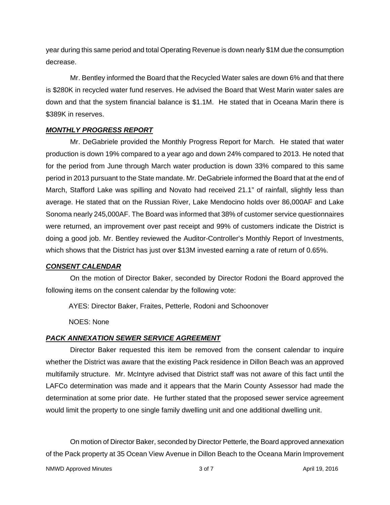year during this same period and total Operating Revenue is down nearly \$1M due the consumption decrease.

Mr. Bentley informed the Board that the Recycled Water sales are down 6% and that there is \$280K in recycled water fund reserves. He advised the Board that West Marin water sales are down and that the system financial balance is \$1.1M. He stated that in Oceana Marin there is \$389K in reserves.

## *MONTHLY PROGRESS REPORT*

Mr. DeGabriele provided the Monthly Progress Report for March. He stated that water production is down 19% compared to a year ago and down 24% compared to 2013. He noted that for the period from June through March water production is down 33% compared to this same period in 2013 pursuant to the State mandate. Mr. DeGabriele informed the Board that at the end of March, Stafford Lake was spilling and Novato had received 21.1" of rainfall, slightly less than average. He stated that on the Russian River, Lake Mendocino holds over 86,000AF and Lake Sonoma nearly 245,000AF. The Board was informed that 38% of customer service questionnaires were returned, an improvement over past receipt and 99% of customers indicate the District is doing a good job. Mr. Bentley reviewed the Auditor-Controller's Monthly Report of Investments, which shows that the District has just over \$13M invested earning a rate of return of 0.65%.

# *CONSENT CALENDAR*

On the motion of Director Baker, seconded by Director Rodoni the Board approved the following items on the consent calendar by the following vote:

AYES: Director Baker, Fraites, Petterle, Rodoni and Schoonover

NOES: None

# *PACK ANNEXATION SEWER SERVICE AGREEMENT*

Director Baker requested this item be removed from the consent calendar to inquire whether the District was aware that the existing Pack residence in Dillon Beach was an approved multifamily structure. Mr. McIntyre advised that District staff was not aware of this fact until the LAFCo determination was made and it appears that the Marin County Assessor had made the determination at some prior date. He further stated that the proposed sewer service agreement would limit the property to one single family dwelling unit and one additional dwelling unit.

On motion of Director Baker, seconded by Director Petterle, the Board approved annexation of the Pack property at 35 Ocean View Avenue in Dillon Beach to the Oceana Marin Improvement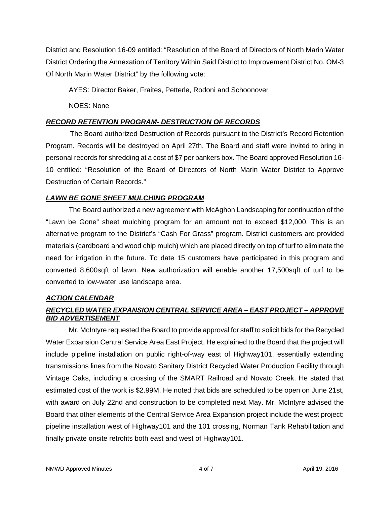District and Resolution 16-09 entitled: "Resolution of the Board of Directors of North Marin Water District Ordering the Annexation of Territory Within Said District to Improvement District No. OM-3 Of North Marin Water District" by the following vote:

AYES: Director Baker, Fraites, Petterle, Rodoni and Schoonover

NOES: None

# *RECORD RETENTION PROGRAM- DESTRUCTION OF RECORDS*

The Board authorized Destruction of Records pursuant to the District's Record Retention Program. Records will be destroyed on April 27th. The Board and staff were invited to bring in personal records for shredding at a cost of \$7 per bankers box. The Board approved Resolution 16- 10 entitled: "Resolution of the Board of Directors of North Marin Water District to Approve Destruction of Certain Records."

# *LAWN BE GONE SHEET MULCHING PROGRAM*

 The Board authorized a new agreement with McAghon Landscaping for continuation of the "Lawn be Gone" sheet mulching program for an amount not to exceed \$12,000. This is an alternative program to the District's "Cash For Grass" program. District customers are provided materials (cardboard and wood chip mulch) which are placed directly on top of turf to eliminate the need for irrigation in the future. To date 15 customers have participated in this program and converted 8,600sqft of lawn. New authorization will enable another 17,500sqft of turf to be converted to low-water use landscape area.

# *ACTION CALENDAR*

# *RECYCLED WATER EXPANSION CENTRAL SERVICE AREA – EAST PROJECT – APPROVE BID ADVERTISEMENT*

 Mr. McIntyre requested the Board to provide approval for staff to solicit bids for the Recycled Water Expansion Central Service Area East Project. He explained to the Board that the project will include pipeline installation on public right-of-way east of Highway101, essentially extending transmissions lines from the Novato Sanitary District Recycled Water Production Facility through Vintage Oaks, including a crossing of the SMART Railroad and Novato Creek. He stated that estimated cost of the work is \$2.99M. He noted that bids are scheduled to be open on June 21st, with award on July 22nd and construction to be completed next May. Mr. McIntyre advised the Board that other elements of the Central Service Area Expansion project include the west project: pipeline installation west of Highway101 and the 101 crossing, Norman Tank Rehabilitation and finally private onsite retrofits both east and west of Highway101.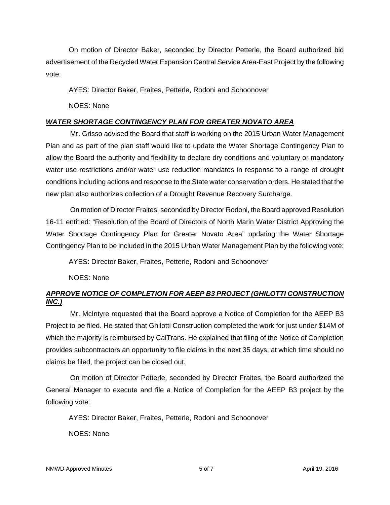On motion of Director Baker, seconded by Director Petterle, the Board authorized bid advertisement of the Recycled Water Expansion Central Service Area-East Project by the following vote:

AYES: Director Baker, Fraites, Petterle, Rodoni and Schoonover

NOES: None

# *WATER SHORTAGE CONTINGENCY PLAN FOR GREATER NOVATO AREA*

Mr. Grisso advised the Board that staff is working on the 2015 Urban Water Management Plan and as part of the plan staff would like to update the Water Shortage Contingency Plan to allow the Board the authority and flexibility to declare dry conditions and voluntary or mandatory water use restrictions and/or water use reduction mandates in response to a range of drought conditions including actions and response to the State water conservation orders. He stated that the new plan also authorizes collection of a Drought Revenue Recovery Surcharge.

On motion of Director Fraites, seconded by Director Rodoni, the Board approved Resolution 16-11 entitled: "Resolution of the Board of Directors of North Marin Water District Approving the Water Shortage Contingency Plan for Greater Novato Area" updating the Water Shortage Contingency Plan to be included in the 2015 Urban Water Management Plan by the following vote:

AYES: Director Baker, Fraites, Petterle, Rodoni and Schoonover

NOES: None

# *APPROVE NOTICE OF COMPLETION FOR AEEP B3 PROJECT (GHILOTTI CONSTRUCTION INC.)*

Mr. McIntyre requested that the Board approve a Notice of Completion for the AEEP B3 Project to be filed. He stated that Ghilotti Construction completed the work for just under \$14M of which the majority is reimbursed by CalTrans. He explained that filing of the Notice of Completion provides subcontractors an opportunity to file claims in the next 35 days, at which time should no claims be filed, the project can be closed out.

On motion of Director Petterle, seconded by Director Fraites, the Board authorized the General Manager to execute and file a Notice of Completion for the AEEP B3 project by the following vote:

AYES: Director Baker, Fraites, Petterle, Rodoni and Schoonover

NOES: None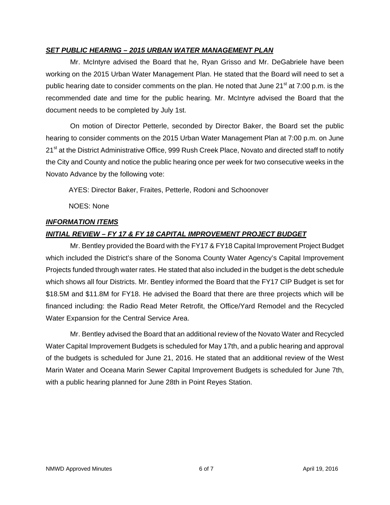## *SET PUBLIC HEARING – 2015 URBAN WATER MANAGEMENT PLAN*

Mr. McIntyre advised the Board that he, Ryan Grisso and Mr. DeGabriele have been working on the 2015 Urban Water Management Plan. He stated that the Board will need to set a public hearing date to consider comments on the plan. He noted that June  $21<sup>st</sup>$  at 7:00 p.m. is the recommended date and time for the public hearing. Mr. McIntyre advised the Board that the document needs to be completed by July 1st.

On motion of Director Petterle, seconded by Director Baker, the Board set the public hearing to consider comments on the 2015 Urban Water Management Plan at 7:00 p.m. on June 21<sup>st</sup> at the District Administrative Office, 999 Rush Creek Place, Novato and directed staff to notify the City and County and notice the public hearing once per week for two consecutive weeks in the Novato Advance by the following vote:

AYES: Director Baker, Fraites, Petterle, Rodoni and Schoonover

NOES: None

## *INFORMATION ITEMS*

# *INITIAL REVIEW – FY 17 & FY 18 CAPITAL IMPROVEMENT PROJECT BUDGET*

Mr. Bentley provided the Board with the FY17 & FY18 Capital Improvement Project Budget which included the District's share of the Sonoma County Water Agency's Capital Improvement Projects funded through water rates. He stated that also included in the budget is the debt schedule which shows all four Districts. Mr. Bentley informed the Board that the FY17 CIP Budget is set for \$18.5M and \$11.8M for FY18. He advised the Board that there are three projects which will be financed including: the Radio Read Meter Retrofit, the Office/Yard Remodel and the Recycled Water Expansion for the Central Service Area.

Mr. Bentley advised the Board that an additional review of the Novato Water and Recycled Water Capital Improvement Budgets is scheduled for May 17th, and a public hearing and approval of the budgets is scheduled for June 21, 2016. He stated that an additional review of the West Marin Water and Oceana Marin Sewer Capital Improvement Budgets is scheduled for June 7th, with a public hearing planned for June 28th in Point Reyes Station.